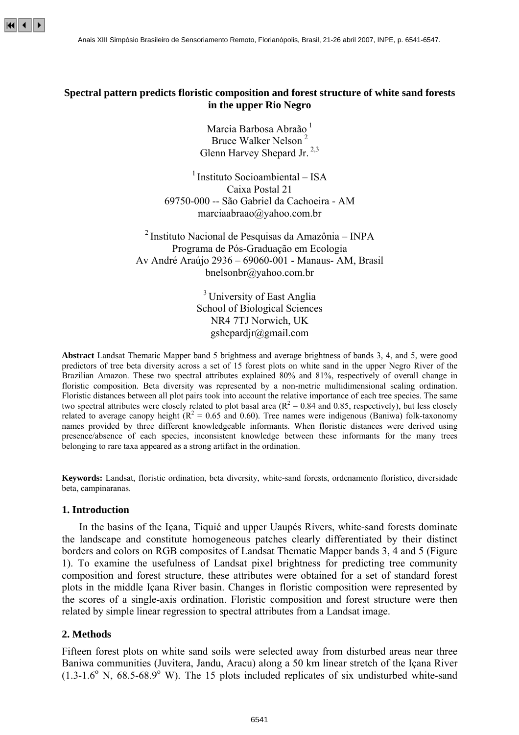

# **Spectral pattern predicts floristic composition and forest structure of white sand forests in the upper Rio Negro**

Marcia Barbosa Abraão<sup>1</sup> Bruce Walker Nelson <sup>2</sup> Glenn Harvey Shepard Jr.<sup>2,3</sup>

 $<sup>1</sup>$  Instituto Socioambiental – ISA</sup> Caixa Postal 21 69750-000 -- São Gabriel da Cachoeira - AM marciaabraao@yahoo.com.br

2 Instituto Nacional de Pesquisas da Amazônia – INPA Programa de Pós-Graduação em Ecologia Av André Araújo 2936 – 69060-001 - Manaus- AM, Brasil bnelsonbr@yahoo.com.br

> <sup>3</sup> University of East Anglia School of Biological Sciences NR4 7TJ Norwich, UK gshepardjr@gmail.com

**Abstract** Landsat Thematic Mapper band 5 brightness and average brightness of bands 3, 4, and 5, were good predictors of tree beta diversity across a set of 15 forest plots on white sand in the upper Negro River of the Brazilian Amazon. These two spectral attributes explained 80% and 81%, respectively of overall change in floristic composition. Beta diversity was represented by a non-metric multidimensional scaling ordination. Floristic distances between all plot pairs took into account the relative importance of each tree species. The same two spectral attributes were closely related to plot basal area ( $R^2 = 0.84$  and 0.85, respectively), but less closely related to average canopy height  $(R^2 = 0.65$  and 0.60). Tree names were indigenous (Baniwa) folk-taxonomy names provided by three different knowledgeable informants. When floristic distances were derived using presence/absence of each species, inconsistent knowledge between these informants for the many trees belonging to rare taxa appeared as a strong artifact in the ordination.

**Keywords:** Landsat, floristic ordination, beta diversity, white-sand forests, ordenamento florístico, diversidade beta, campinaranas.

### **1. Introduction**

In the basins of the Içana, Tiquié and upper Uaupés Rivers, white-sand forests dominate the landscape and constitute homogeneous patches clearly differentiated by their distinct borders and colors on RGB composites of Landsat Thematic Mapper bands 3, 4 and 5 (Figure 1). To examine the usefulness of Landsat pixel brightness for predicting tree community composition and forest structure, these attributes were obtained for a set of standard forest plots in the middle Içana River basin. Changes in floristic composition were represented by the scores of a single-axis ordination. Floristic composition and forest structure were then related by simple linear regression to spectral attributes from a Landsat image.

# **2. Methods**

Fifteen forest plots on white sand soils were selected away from disturbed areas near three Baniwa communities (Juvitera, Jandu, Aracu) along a 50 km linear stretch of the Içana River  $(1.3-1.6^{\circ}$  N,  $68.5-68.9^{\circ}$  W). The 15 plots included replicates of six undisturbed white-sand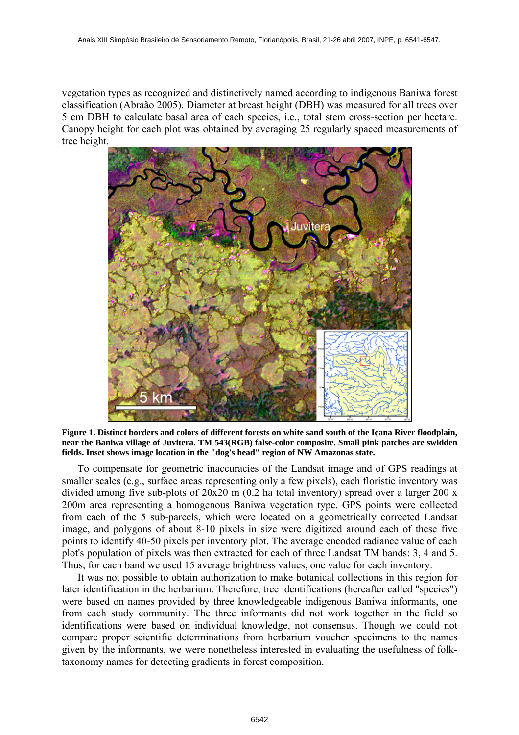vegetation types as recognized and distinctively named according to indigenous Baniwa forest classification (Abraão 2005). Diameter at breast height (DBH) was measured for all trees over 5 cm DBH to calculate basal area of each species, i.e., total stem cross-section per hectare. Canopy height for each plot was obtained by averaging 25 regularly spaced measurements of tree height.



**Figure 1. Distinct borders and colors of different forests on white sand south of the Içana River floodplain, near the Baniwa village of Juvitera. TM 543(RGB) false-color composite. Small pink patches are swidden fields. Inset shows image location in the "dog's head" region of NW Amazonas state.** 

To compensate for geometric inaccuracies of the Landsat image and of GPS readings at smaller scales (e.g., surface areas representing only a few pixels), each floristic inventory was divided among five sub-plots of 20x20 m (0.2 ha total inventory) spread over a larger 200 x 200m area representing a homogenous Baniwa vegetation type. GPS points were collected from each of the 5 sub-parcels, which were located on a geometrically corrected Landsat image, and polygons of about 8-10 pixels in size were digitized around each of these five points to identify 40-50 pixels per inventory plot. The average encoded radiance value of each plot's population of pixels was then extracted for each of three Landsat TM bands: 3, 4 and 5. Thus, for each band we used 15 average brightness values, one value for each inventory.

It was not possible to obtain authorization to make botanical collections in this region for later identification in the herbarium. Therefore, tree identifications (hereafter called "species") were based on names provided by three knowledgeable indigenous Baniwa informants, one from each study community. The three informants did not work together in the field so identifications were based on individual knowledge, not consensus. Though we could not compare proper scientific determinations from herbarium voucher specimens to the names given by the informants, we were nonetheless interested in evaluating the usefulness of folktaxonomy names for detecting gradients in forest composition.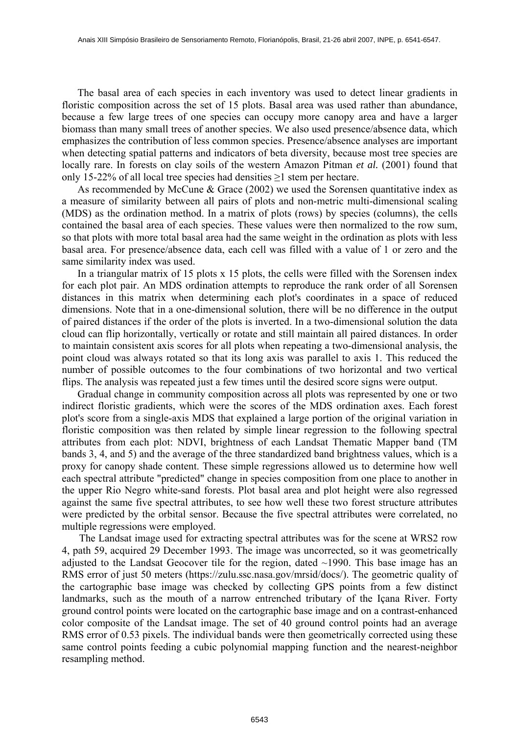The basal area of each species in each inventory was used to detect linear gradients in floristic composition across the set of 15 plots. Basal area was used rather than abundance, because a few large trees of one species can occupy more canopy area and have a larger biomass than many small trees of another species. We also used presence/absence data, which emphasizes the contribution of less common species. Presence/absence analyses are important when detecting spatial patterns and indicators of beta diversity, because most tree species are locally rare. In forests on clay soils of the western Amazon Pitman *et al.* (2001) found that only 15-22% of all local tree species had densities ≥1 stem per hectare.

As recommended by McCune & Grace (2002) we used the Sorensen quantitative index as a measure of similarity between all pairs of plots and non-metric multi-dimensional scaling (MDS) as the ordination method. In a matrix of plots (rows) by species (columns), the cells contained the basal area of each species. These values were then normalized to the row sum, so that plots with more total basal area had the same weight in the ordination as plots with less basal area. For presence/absence data, each cell was filled with a value of 1 or zero and the same similarity index was used.

 In a triangular matrix of 15 plots x 15 plots, the cells were filled with the Sorensen index for each plot pair. An MDS ordination attempts to reproduce the rank order of all Sorensen distances in this matrix when determining each plot's coordinates in a space of reduced dimensions. Note that in a one-dimensional solution, there will be no difference in the output of paired distances if the order of the plots is inverted. In a two-dimensional solution the data cloud can flip horizontally, vertically or rotate and still maintain all paired distances. In order to maintain consistent axis scores for all plots when repeating a two-dimensional analysis, the point cloud was always rotated so that its long axis was parallel to axis 1. This reduced the number of possible outcomes to the four combinations of two horizontal and two vertical flips. The analysis was repeated just a few times until the desired score signs were output.

 Gradual change in community composition across all plots was represented by one or two indirect floristic gradients, which were the scores of the MDS ordination axes. Each forest plot's score from a single-axis MDS that explained a large portion of the original variation in floristic composition was then related by simple linear regression to the following spectral attributes from each plot: NDVI, brightness of each Landsat Thematic Mapper band (TM bands 3, 4, and 5) and the average of the three standardized band brightness values, which is a proxy for canopy shade content. These simple regressions allowed us to determine how well each spectral attribute "predicted" change in species composition from one place to another in the upper Rio Negro white-sand forests. Plot basal area and plot height were also regressed against the same five spectral attributes, to see how well these two forest structure attributes were predicted by the orbital sensor. Because the five spectral attributes were correlated, no multiple regressions were employed.

The Landsat image used for extracting spectral attributes was for the scene at WRS2 row 4, path 59, acquired 29 December 1993. The image was uncorrected, so it was geometrically adjusted to the Landsat Geocover tile for the region, dated ~1990. This base image has an RMS error of just 50 meters (https://zulu.ssc.nasa.gov/mrsid/docs/). The geometric quality of the cartographic base image was checked by collecting GPS points from a few distinct landmarks, such as the mouth of a narrow entrenched tributary of the Içana River. Forty ground control points were located on the cartographic base image and on a contrast-enhanced color composite of the Landsat image. The set of 40 ground control points had an average RMS error of 0.53 pixels. The individual bands were then geometrically corrected using these same control points feeding a cubic polynomial mapping function and the nearest-neighbor resampling method.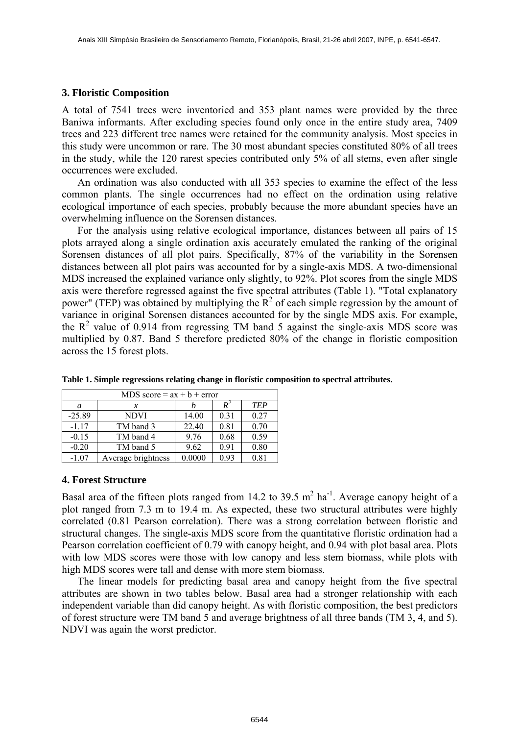# **3. Floristic Composition**

A total of 7541 trees were inventoried and 353 plant names were provided by the three Baniwa informants. After excluding species found only once in the entire study area, 7409 trees and 223 different tree names were retained for the community analysis. Most species in this study were uncommon or rare. The 30 most abundant species constituted 80% of all trees in the study, while the 120 rarest species contributed only 5% of all stems, even after single occurrences were excluded.

An ordination was also conducted with all 353 species to examine the effect of the less common plants. The single occurrences had no effect on the ordination using relative ecological importance of each species, probably because the more abundant species have an overwhelming influence on the Sorensen distances.

For the analysis using relative ecological importance, distances between all pairs of 15 plots arrayed along a single ordination axis accurately emulated the ranking of the original Sorensen distances of all plot pairs. Specifically, 87% of the variability in the Sorensen distances between all plot pairs was accounted for by a single-axis MDS. A two-dimensional MDS increased the explained variance only slightly, to 92%. Plot scores from the single MDS axis were therefore regressed against the five spectral attributes (Table 1). "Total explanatory power" (TEP) was obtained by multiplying the  $\mathbb{R}^2$  of each simple regression by the amount of variance in original Sorensen distances accounted for by the single MDS axis. For example, the  $R^2$  value of 0.914 from regressing TM band 5 against the single-axis MDS score was multiplied by 0.87. Band 5 therefore predicted 80% of the change in floristic composition across the 15 forest plots.

| MDS score = $ax + b + error$ |                    |        |       |            |  |  |  |  |  |
|------------------------------|--------------------|--------|-------|------------|--|--|--|--|--|
| a                            | x                  |        | $R^2$ | <b>TEP</b> |  |  |  |  |  |
| $-25.89$                     | <b>NDVI</b>        | 14.00  | 0.31  | 0.27       |  |  |  |  |  |
| $-1.17$                      | TM band 3          | 22.40  | 0.81  | 0.70       |  |  |  |  |  |
| $-0.15$                      | TM band 4          | 9.76   | 0.68  | 0.59       |  |  |  |  |  |
| $-0.20$                      | TM band 5          | 9.62   | 0.91  | 0.80       |  |  |  |  |  |
| $-1.07$                      | Average brightness | 0.0000 | 0.93  | 0.81       |  |  |  |  |  |

**Table 1. Simple regressions relating change in florístic composition to spectral attributes.** 

## **4. Forest Structure**

Basal area of the fifteen plots ranged from 14.2 to 39.5  $m^2$  ha<sup>-1</sup>. Average canopy height of a plot ranged from 7.3 m to 19.4 m. As expected, these two structural attributes were highly correlated (0.81 Pearson correlation). There was a strong correlation between floristic and structural changes. The single-axis MDS score from the quantitative floristic ordination had a Pearson correlation coefficient of 0.79 with canopy height, and 0.94 with plot basal area. Plots with low MDS scores were those with low canopy and less stem biomass, while plots with high MDS scores were tall and dense with more stem biomass.

The linear models for predicting basal area and canopy height from the five spectral attributes are shown in two tables below. Basal area had a stronger relationship with each independent variable than did canopy height. As with floristic composition, the best predictors of forest structure were TM band 5 and average brightness of all three bands (TM 3, 4, and 5). NDVI was again the worst predictor.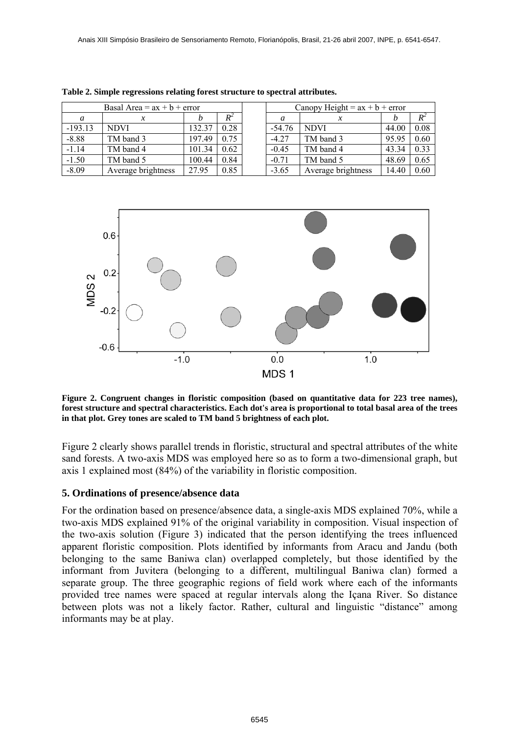| Basal Area = $ax + b + error$ |                    |        |         | Canopy Height = $ax + b + error$ |                    |       |       |
|-------------------------------|--------------------|--------|---------|----------------------------------|--------------------|-------|-------|
| a                             | x                  |        | $R^2\,$ | а                                |                    |       | $R^2$ |
| $-193.13$                     | <b>NDVI</b>        | 132.37 | 0.28    | $-54.76$                         | <b>NDVI</b>        | 44.00 | 0.08  |
| $-8.88$                       | TM band 3          | 197.49 | 0.75    | $-4.27$                          | TM band 3          | 95.95 | 0.60  |
| $-1.14$                       | TM band 4          | 101.34 | 0.62    | $-0.45$                          | TM band 4          | 43.34 | 0.33  |
| $-1.50$                       | TM band 5          | 100.44 | 0.84    | $-0.71$                          | TM band 5          | 48.69 | 0.65  |
| $-8.09$                       | Average brightness | 27.95  | 0.85    | $-3.65$                          | Average brightness | 14.40 | 0.60  |

**Table 2. Simple regressions relating forest structure to spectral attributes.** 



**Figure 2. Congruent changes in floristic composition (based on quantitative data for 223 tree names), forest structure and spectral characteristics. Each dot's area is proportional to total basal area of the trees in that plot. Grey tones are scaled to TM band 5 brightness of each plot.** 

Figure 2 clearly shows parallel trends in floristic, structural and spectral attributes of the white sand forests. A two-axis MDS was employed here so as to form a two-dimensional graph, but axis 1 explained most (84%) of the variability in floristic composition.

## **5. Ordinations of presence/absence data**

For the ordination based on presence/absence data, a single-axis MDS explained 70%, while a two-axis MDS explained 91% of the original variability in composition. Visual inspection of the two-axis solution (Figure 3) indicated that the person identifying the trees influenced apparent floristic composition. Plots identified by informants from Aracu and Jandu (both belonging to the same Baniwa clan) overlapped completely, but those identified by the informant from Juvitera (belonging to a different, multilingual Baniwa clan) formed a separate group. The three geographic regions of field work where each of the informants provided tree names were spaced at regular intervals along the Içana River. So distance between plots was not a likely factor. Rather, cultural and linguistic "distance" among informants may be at play.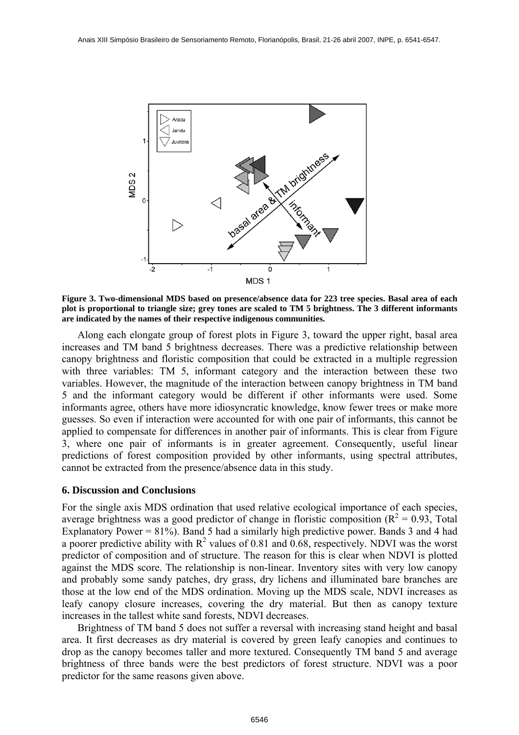

**Figure 3. Two-dimensional MDS based on presence/absence data for 223 tree species. Basal area of each plot is proportional to triangle size; grey tones are scaled to TM 5 brightness. The 3 different informants are indicated by the names of their respective indigenous communities.** 

Along each elongate group of forest plots in Figure 3, toward the upper right, basal area increases and TM band 5 brightness decreases. There was a predictive relationship between canopy brightness and floristic composition that could be extracted in a multiple regression with three variables: TM 5, informant category and the interaction between these two variables. However, the magnitude of the interaction between canopy brightness in TM band 5 and the informant category would be different if other informants were used. Some informants agree, others have more idiosyncratic knowledge, know fewer trees or make more guesses. So even if interaction were accounted for with one pair of informants, this cannot be applied to compensate for differences in another pair of informants. This is clear from Figure 3, where one pair of informants is in greater agreement. Consequently, useful linear predictions of forest composition provided by other informants, using spectral attributes, cannot be extracted from the presence/absence data in this study.

#### **6. Discussion and Conclusions**

For the single axis MDS ordination that used relative ecological importance of each species, average brightness was a good predictor of change in floristic composition ( $R^2 = 0.93$ , Total Explanatory Power =  $81\%$ ). Band 5 had a similarly high predictive power. Bands 3 and 4 had a poorer predictive ability with  $R^2$  values of 0.81 and 0.68, respectively. NDVI was the worst predictor of composition and of structure. The reason for this is clear when NDVI is plotted against the MDS score. The relationship is non-linear. Inventory sites with very low canopy and probably some sandy patches, dry grass, dry lichens and illuminated bare branches are those at the low end of the MDS ordination. Moving up the MDS scale, NDVI increases as leafy canopy closure increases, covering the dry material. But then as canopy texture increases in the tallest white sand forests, NDVI decreases.

Brightness of TM band 5 does not suffer a reversal with increasing stand height and basal area. It first decreases as dry material is covered by green leafy canopies and continues to drop as the canopy becomes taller and more textured. Consequently TM band 5 and average brightness of three bands were the best predictors of forest structure. NDVI was a poor predictor for the same reasons given above.